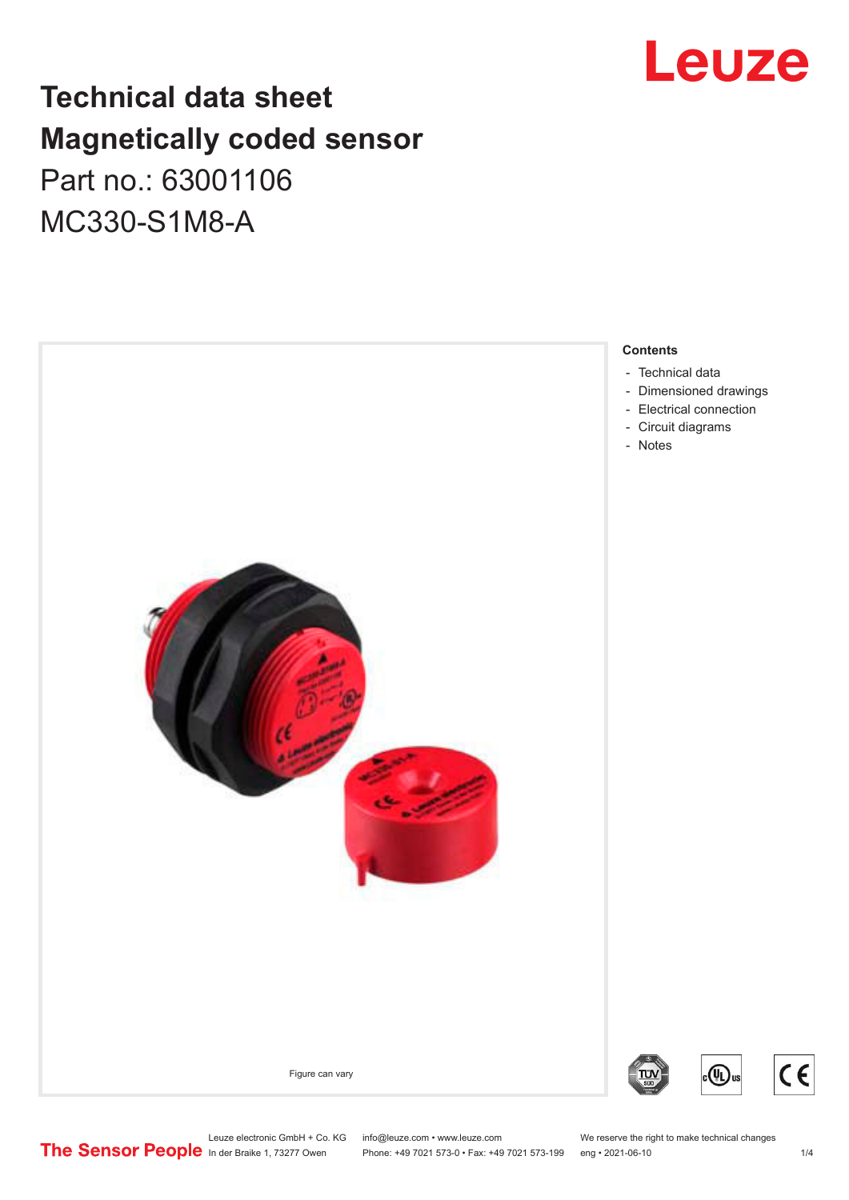## Leuze

## **Technical data sheet Magnetically coded sensor** Part no.: 63001106 MC330-S1M8-A



Leuze electronic GmbH + Co. KG info@leuze.com • www.leuze.com We reserve the right to make technical changes<br>
The Sensor People in der Braike 1, 73277 Owen Phone: +49 7021 573-0 • Fax: +49 7021 573-199 eng • 2021-06-10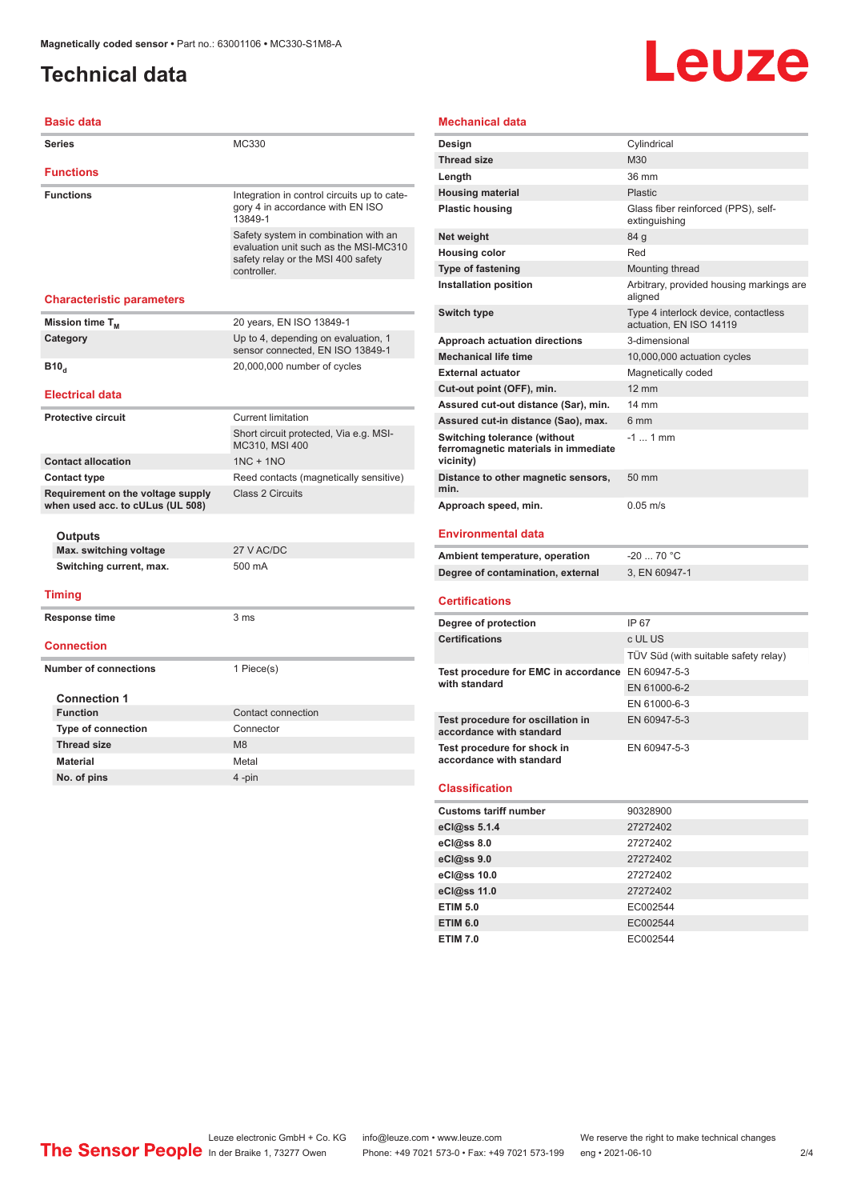### <span id="page-1-0"></span>**Technical data**

# Leuze

#### **Mechanical data**

| <b>Basic data</b>                                                     |                                                                                                                                    |
|-----------------------------------------------------------------------|------------------------------------------------------------------------------------------------------------------------------------|
| <b>Series</b>                                                         | MC330                                                                                                                              |
| <b>Functions</b>                                                      |                                                                                                                                    |
| <b>Functions</b>                                                      | Integration in control circuits up to cate-<br>gory 4 in accordance with EN ISO<br>13849-1                                         |
|                                                                       | Safety system in combination with an<br>evaluation unit such as the MSI-MC310<br>safety relay or the MSI 400 safety<br>controller. |
| <b>Characteristic parameters</b>                                      |                                                                                                                                    |
| Mission time $T_{M}$                                                  | 20 years, EN ISO 13849-1                                                                                                           |
| Category                                                              | Up to 4, depending on evaluation, 1<br>sensor connected. EN ISO 13849-1                                                            |
| B10 <sub>a</sub>                                                      | 20,000,000 number of cycles                                                                                                        |
| <b>Electrical data</b>                                                |                                                                                                                                    |
| <b>Protective circuit</b>                                             | <b>Current limitation</b>                                                                                                          |
|                                                                       | Short circuit protected, Via e.g. MSI-<br>MC310, MSI 400                                                                           |
| <b>Contact allocation</b>                                             | $1NC + 1NO$                                                                                                                        |
| <b>Contact type</b>                                                   | Reed contacts (magnetically sensitive)                                                                                             |
| Requirement on the voltage supply<br>when used acc. to cULus (UL 508) | Class 2 Circuits                                                                                                                   |
| Outputs                                                               |                                                                                                                                    |
| Max. switching voltage                                                | 27 V AC/DC                                                                                                                         |
| Switching current, max.                                               | 500 mA                                                                                                                             |
| <b>Timing</b>                                                         |                                                                                                                                    |
| <b>Response time</b>                                                  | 3 ms                                                                                                                               |
| <b>Connection</b>                                                     |                                                                                                                                    |
| <b>Number of connections</b>                                          | 1 Piece(s)                                                                                                                         |
| <b>Connection 1</b>                                                   |                                                                                                                                    |
| <b>Function</b>                                                       | Contact connection                                                                                                                 |
| <b>Type of connection</b>                                             | Connector                                                                                                                          |
| <b>Thread size</b>                                                    | M <sub>8</sub>                                                                                                                     |
| <b>Material</b>                                                       | Metal                                                                                                                              |
| No. of pins                                                           | 4-pin                                                                                                                              |
|                                                                       |                                                                                                                                    |

| Design                                                                            | Cylindrical                                                     |
|-----------------------------------------------------------------------------------|-----------------------------------------------------------------|
| <b>Thread size</b>                                                                | M30                                                             |
| Length                                                                            | 36 mm                                                           |
| <b>Housing material</b>                                                           | Plastic                                                         |
| <b>Plastic housing</b>                                                            | Glass fiber reinforced (PPS), self-<br>extinguishing            |
| Net weight                                                                        | 84 g                                                            |
| <b>Housing color</b>                                                              | Red                                                             |
| <b>Type of fastening</b>                                                          | Mounting thread                                                 |
| Installation position                                                             | Arbitrary, provided housing markings are<br>aligned             |
| <b>Switch type</b>                                                                | Type 4 interlock device, contactless<br>actuation, EN ISO 14119 |
| <b>Approach actuation directions</b>                                              | 3-dimensional                                                   |
| <b>Mechanical life time</b>                                                       | 10,000,000 actuation cycles                                     |
| <b>External actuator</b>                                                          | Magnetically coded                                              |
| Cut-out point (OFF), min.                                                         | $12 \text{ mm}$                                                 |
| Assured cut-out distance (Sar), min.                                              | $14 \text{ mm}$                                                 |
| Assured cut-in distance (Sao), max.                                               | 6 <sub>mm</sub>                                                 |
| Switching tolerance (without<br>ferromagnetic materials in immediate<br>vicinity) | $-1$ 1 mm                                                       |
| Distance to other magnetic sensors,<br>min.                                       | 50 mm                                                           |
| Approach speed, min.                                                              | $0.05 \; \text{m/s}$                                            |
| <b>Environmental data</b>                                                         |                                                                 |

| Ambient temperature, operation    | -20  70 °C    |
|-----------------------------------|---------------|
| Degree of contamination, external | 3. EN 60947-1 |

#### **Certifications**

| Degree of protection                                               | IP 67                                |
|--------------------------------------------------------------------|--------------------------------------|
| <b>Certifications</b>                                              | c UL US                              |
|                                                                    | TÜV Süd (with suitable safety relay) |
| Test procedure for EMC in accordance EN 60947-5-3<br>with standard |                                      |
|                                                                    | EN 61000-6-2                         |
|                                                                    | EN 61000-6-3                         |
| Test procedure for oscillation in<br>accordance with standard      | EN 60947-5-3                         |
| Test procedure for shock in<br>accordance with standard            | EN 60947-5-3                         |

#### **Classification**

| <b>Customs tariff number</b> | 90328900 |
|------------------------------|----------|
| eCl@ss 5.1.4                 | 27272402 |
| eCl@ss 8.0                   | 27272402 |
| eCl@ss 9.0                   | 27272402 |
| eCl@ss 10.0                  | 27272402 |
| eCl@ss 11.0                  | 27272402 |
| <b>ETIM 5.0</b>              | EC002544 |
| <b>ETIM 6.0</b>              | EC002544 |
| <b>ETIM 7.0</b>              | EC002544 |

Leuze electronic GmbH + Co. KG info@leuze.com • www.leuze.com We reserve the right to make technical changes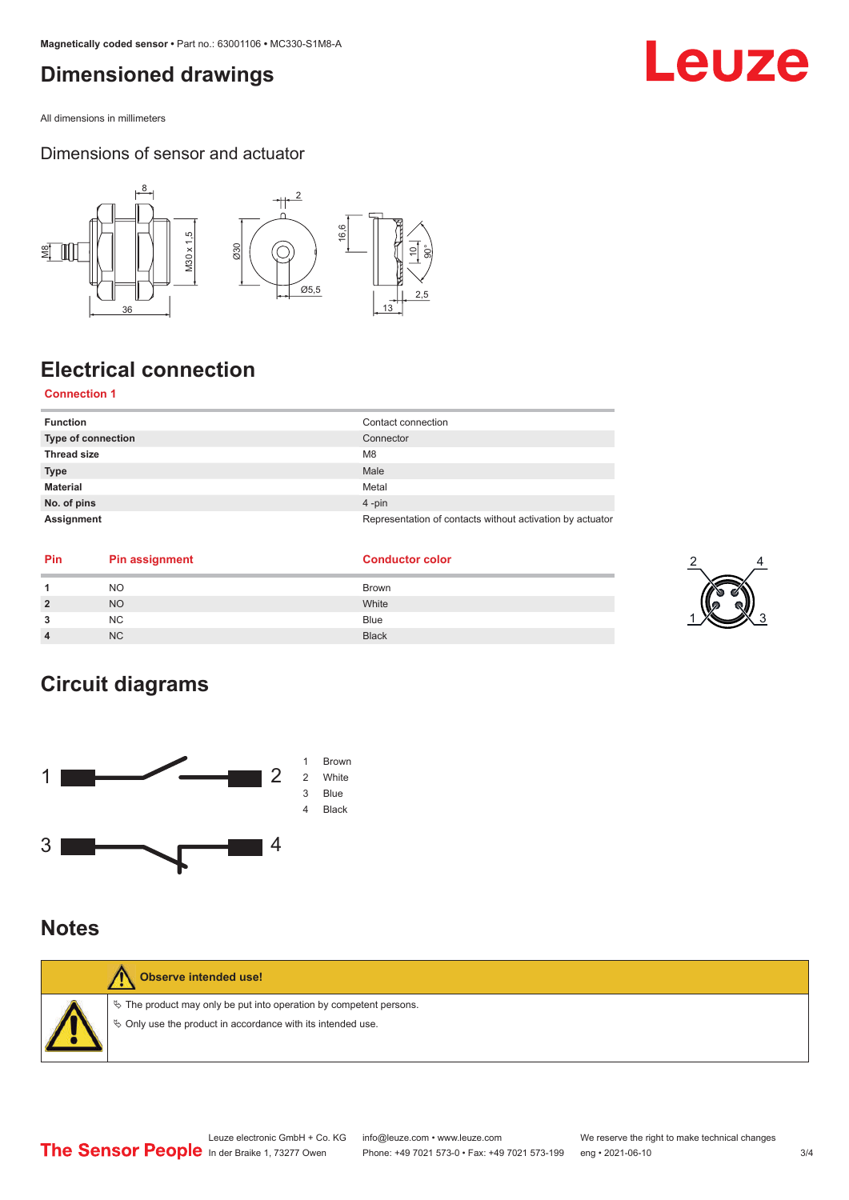### <span id="page-2-0"></span>**Dimensioned drawings**

All dimensions in millimeters

#### Dimensions of sensor and actuator



## **Electrical connection**

#### **Connection 1**

| <b>Function</b>    | Contact connection                                        |
|--------------------|-----------------------------------------------------------|
| Type of connection | Connector                                                 |
| <b>Thread size</b> | M <sub>8</sub>                                            |
| <b>Type</b>        | Male                                                      |
| <b>Material</b>    | Metal                                                     |
| No. of pins        | $4$ -pin                                                  |
| Assignment         | Representation of contacts without activation by actuator |

| <b>Pin</b> | <b>Pin assignment</b> | <b>Conductor color</b> |
|------------|-----------------------|------------------------|
|            | <b>NO</b>             | <b>Brown</b>           |
|            | <b>NO</b>             | White                  |
|            | NC.                   | <b>Blue</b>            |
|            | N <sub>C</sub>        | <b>Black</b>           |





### **Notes**

| <b>Observe intended use!</b>                                                                                                            |
|-----------------------------------------------------------------------------------------------------------------------------------------|
| $\&$ The product may only be put into operation by competent persons.<br>$\%$ Only use the product in accordance with its intended use. |

## Leuze

2

1 X 3 3

4